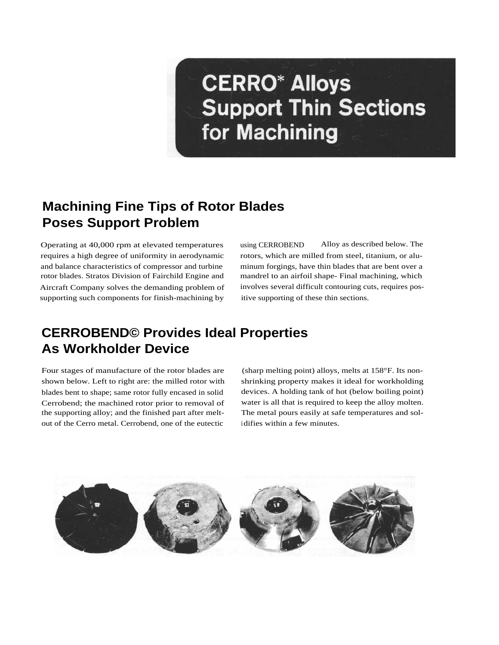# **CERRO\* Alloys Support Thin Sections** for Machining

#### **Machining Fine Tips of Rotor Blades Poses Support Problem**

Operating at 40,000 rpm at elevated temperatures requires a high degree of uniformity in aerodynamic and balance characteristics of compressor and turbine rotor blades. Stratos Division of Fairchild Engine and Aircraft Company solves the demanding problem of supporting such components for finish-machining by

using CERROBEND Alloy as described below. The rotors, which are milled from steel, titanium, or aluminum forgings, have thin blades that are bent over a mandrel to an airfoil shape- Final machining, which involves several difficult contouring cuts, requires positive supporting of these thin sections.

### **CERROBEND© Provides Ideal Properties As Workholder Device**

Four stages of manufacture of the rotor blades are shown below. Left to right are: the milled rotor with blades bent to shape; same rotor fully encased in solid Cerrobend; the machined rotor prior to removal of the supporting alloy; and the finished part after meltout of the Cerro metal. Cerrobend, one of the eutectic

(sharp melting point) alloys, melts at 158°F. Its nonshrinking property makes it ideal for workholding devices. A holding tank of hot (below boiling point) water is all that is required to keep the alloy molten. The metal pours easily at safe temperatures and solidifies within a few minutes.